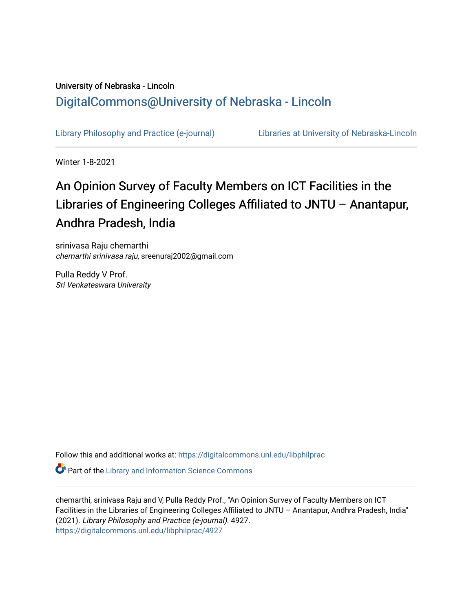# University of Nebraska - Lincoln [DigitalCommons@University of Nebraska - Lincoln](https://digitalcommons.unl.edu/)

[Library Philosophy and Practice \(e-journal\)](https://digitalcommons.unl.edu/libphilprac) [Libraries at University of Nebraska-Lincoln](https://digitalcommons.unl.edu/libraries) 

Winter 1-8-2021

# An Opinion Survey of Faculty Members on ICT Facilities in the Libraries of Engineering Colleges Affiliated to JNTU – Anantapur, Andhra Pradesh, India

srinivasa Raju chemarthi chemarthi srinivasa raju, sreenuraj2002@gmail.com

Pulla Reddy V Prof. Sri Venkateswara University

Follow this and additional works at: [https://digitalcommons.unl.edu/libphilprac](https://digitalcommons.unl.edu/libphilprac?utm_source=digitalcommons.unl.edu%2Flibphilprac%2F4927&utm_medium=PDF&utm_campaign=PDFCoverPages) 

**Part of the Library and Information Science Commons** 

chemarthi, srinivasa Raju and V, Pulla Reddy Prof., "An Opinion Survey of Faculty Members on ICT Facilities in the Libraries of Engineering Colleges Affiliated to JNTU – Anantapur, Andhra Pradesh, India" (2021). Library Philosophy and Practice (e-journal). 4927. [https://digitalcommons.unl.edu/libphilprac/4927](https://digitalcommons.unl.edu/libphilprac/4927?utm_source=digitalcommons.unl.edu%2Flibphilprac%2F4927&utm_medium=PDF&utm_campaign=PDFCoverPages)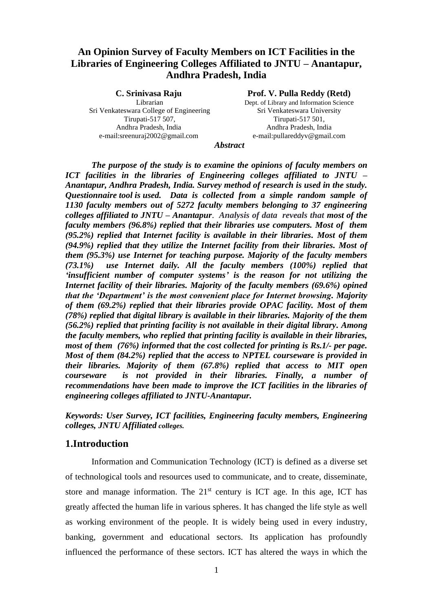# **An Opinion Survey of Faculty Members on ICT Facilities in the Libraries of Engineering Colleges Affiliated to JNTU – Anantapur, Andhra Pradesh, India**

**C. Srinivasa Raju** Librarian Sri Venkateswara College of Engineering Tirupati-517 507, Andhra Pradesh, India e-mail:sreenuraj2002@gmail.com

#### **Prof. V. Pulla Reddy (Retd)**

Dept. of Library and Information Science Sri Venkateswara University Tirupati-517 501, Andhra Pradesh, India e-mail:pullareddyv@gmail.com

*Abstract*

*The purpose of the study is to examine the opinions of faculty members on ICT facilities in the libraries of Engineering colleges affiliated to JNTU – Anantapur, Andhra Pradesh, India. Survey method of research is used in the study. Questionnaire tool is used. Data is collected from a simple random sample of 1130 faculty members out of 5272 faculty members belonging to 37 engineering colleges affiliated to JNTU – Anantapur*. *Analysis of data reveals that most of the faculty members (96.8%) replied that their libraries use computers. Most of them (95.2%) replied that Internet facility is available in their libraries. Most of them (94.9%) replied that they utilize the Internet facility from their libraries. Most of them (95.3%) use Internet for teaching purpose. Majority of the faculty members (73.1%) use Internet daily. All the faculty members (100%) replied that 'insufficient number of computer systems' is the reason for not utilizing the Internet facility of their libraries. Majority of the faculty members (69.6%) opined that the 'Department' is the most convenient place for Internet browsing. Majority of them (69.2%) replied that their libraries provide OPAC facility. Most of them (78%) replied that digital library is available in their libraries. Majority of the them (56.2%) replied that printing facility is not available in their digital library. Among the faculty members, who replied that printing facility is available in their libraries, most of them (76%) informed that the cost collected for printing is Rs.1/- per page. Most of them (84.2%) replied that the access to NPTEL courseware is provided in their libraries. Majority of them (67.8%) replied that access to MIT open courseware is not provided in their libraries. Finally, a number of recommendations have been made to improve the ICT facilities in the libraries of engineering colleges affiliated to JNTU-Anantapur.*

*Keywords: User Survey, ICT facilities, Engineering faculty members, Engineering colleges, JNTU Affiliated colleges.*

#### **1.Introduction**

Information and Communication Technology (ICT) is defined as a diverse set of technological tools and resources used to communicate, and to create, disseminate, store and manage information. The  $21<sup>st</sup>$  century is ICT age. In this age, ICT has greatly affected the human life in various spheres. It has changed the life style as well as working environment of the people. It is widely being used in every industry, banking, government and educational sectors. Its application has profoundly influenced the performance of these sectors. ICT has altered the ways in which the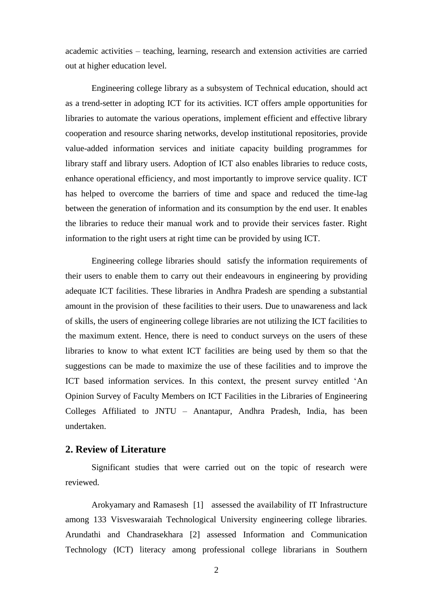academic activities – teaching, learning, research and extension activities are carried out at higher education level.

Engineering college library as a subsystem of Technical education, should act as a trend-setter in adopting ICT for its activities. ICT offers ample opportunities for libraries to automate the various operations, implement efficient and effective library cooperation and resource sharing networks, develop institutional repositories, provide value-added information services and initiate capacity building programmes for library staff and library users. Adoption of ICT also enables libraries to reduce costs, enhance operational efficiency, and most importantly to improve service quality. ICT has helped to overcome the barriers of time and space and reduced the time-lag between the generation of information and its consumption by the end user. It enables the libraries to reduce their manual work and to provide their services faster. Right information to the right users at right time can be provided by using ICT.

Engineering college libraries should satisfy the information requirements of their users to enable them to carry out their endeavours in engineering by providing adequate ICT facilities. These libraries in Andhra Pradesh are spending a substantial amount in the provision of these facilities to their users. Due to unawareness and lack of skills, the users of engineering college libraries are not utilizing the ICT facilities to the maximum extent. Hence, there is need to conduct surveys on the users of these libraries to know to what extent ICT facilities are being used by them so that the suggestions can be made to maximize the use of these facilities and to improve the ICT based information services. In this context, the present survey entitled 'An Opinion Survey of Faculty Members on ICT Facilities in the Libraries of Engineering Colleges Affiliated to JNTU – Anantapur, Andhra Pradesh, India, has been undertaken.

# **2. Review of Literature**

Significant studies that were carried out on the topic of research were reviewed.

Arokyamary and Ramasesh [1] assessed the availability of IT Infrastructure among 133 Visveswaraiah Technological University engineering college libraries. Arundathi and Chandrasekhara [2] assessed Information and Communication Technology (ICT) literacy among professional college librarians in Southern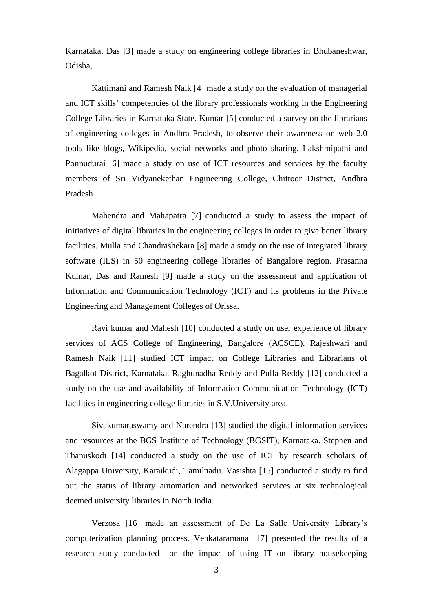Karnataka. Das [3] made a study on engineering college libraries in Bhubaneshwar, Odisha,

Kattimani and Ramesh Naik [4] made a study on the evaluation of managerial and ICT skills' competencies of the library professionals working in the Engineering College Libraries in Karnataka State. Kumar [5] conducted a survey on the librarians of engineering colleges in Andhra Pradesh, to observe their awareness on web 2.0 tools like blogs, Wikipedia, social networks and photo sharing. Lakshmipathi and Ponnudurai [6] made a study on use of ICT resources and services by the faculty members of Sri Vidyanekethan Engineering College, Chittoor District, Andhra Pradesh.

Mahendra and Mahapatra [7] conducted a study to assess the impact of initiatives of digital libraries in the engineering colleges in order to give better library facilities. Mulla and Chandrashekara [8] made a study on the use of integrated library software (ILS) in 50 engineering college libraries of Bangalore region. Prasanna Kumar, Das and Ramesh [9] made a study on the assessment and application of Information and Communication Technology (ICT) and its problems in the Private Engineering and Management Colleges of Orissa.

Ravi kumar and Mahesh [10] conducted a study on user experience of library services of ACS College of Engineering, Bangalore (ACSCE). Rajeshwari and Ramesh Naik [11] studied ICT impact on College Libraries and Librarians of Bagalkot District, Karnataka. Raghunadha Reddy and Pulla Reddy [12] conducted a study on the use and availability of Information Communication Technology (ICT) facilities in engineering college libraries in S.V.University area.

Sivakumaraswamy and Narendra [13] studied the digital information services and resources at the BGS Institute of Technology (BGSIT), Karnataka. Stephen and Thanuskodi [14] conducted a study on the use of ICT by research scholars of Alagappa University, Karaikudi, Tamilnadu. Vasishta [15] conducted a study to find out the status of library automation and networked services at six technological deemed university libraries in North India.

Verzosa [16] made an assessment of De La Salle University Library's computerization planning process. Venkataramana [17] presented the results of a research study conducted on the impact of using IT on library housekeeping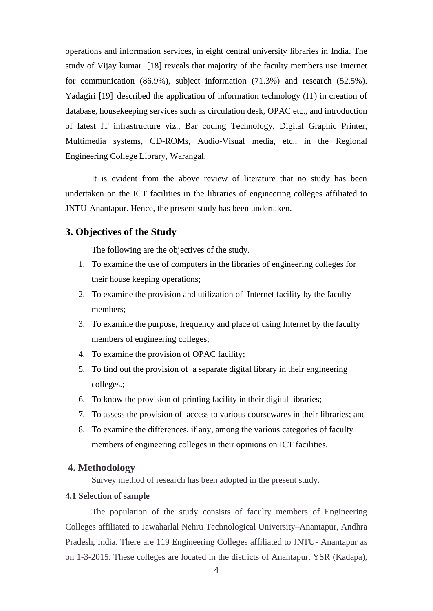operations and information services, in eight central university libraries in India**.** The study of Vijay kumar [18] reveals that majority of the faculty members use Internet for communication (86.9%), subject information (71.3%) and research (52.5%). Yadagiri [19] described the application of information technology (IT) in creation of database, housekeeping services such as circulation desk, OPAC etc., and introduction of latest IT infrastructure viz., Bar coding Technology, Digital Graphic Printer, Multimedia systems, CD-ROMs, Audio-Visual media, etc., in the Regional Engineering College Library, Warangal.

It is evident from the above review of literature that no study has been undertaken on the ICT facilities in the libraries of engineering colleges affiliated to JNTU-Anantapur. Hence, the present study has been undertaken.

#### **3. Objectives of the Study**

The following are the objectives of the study.

- 1. To examine the use of computers in the libraries of engineering colleges for their house keeping operations;
- 2. To examine the provision and utilization of Internet facility by the faculty members;
- 3. To examine the purpose, frequency and place of using Internet by the faculty members of engineering colleges;
- 4. To examine the provision of OPAC facility;
- 5. To find out the provision of a separate digital library in their engineering colleges.;
- 6. To know the provision of printing facility in their digital libraries;
- 7. To assess the provision of access to various coursewares in their libraries; and
- 8. To examine the differences, if any, among the various categories of faculty members of engineering colleges in their opinions on ICT facilities.

#### **4. Methodology**

Survey method of research has been adopted in the present study.

# **4.1 Selection of sample**

The population of the study consists of faculty members of Engineering Colleges affiliated to Jawaharlal Nehru Technological University–Anantapur, Andhra Pradesh, India. There are 119 Engineering Colleges affiliated to JNTU- Anantapur as on 1-3-2015. These colleges are located in the districts of Anantapur, YSR (Kadapa),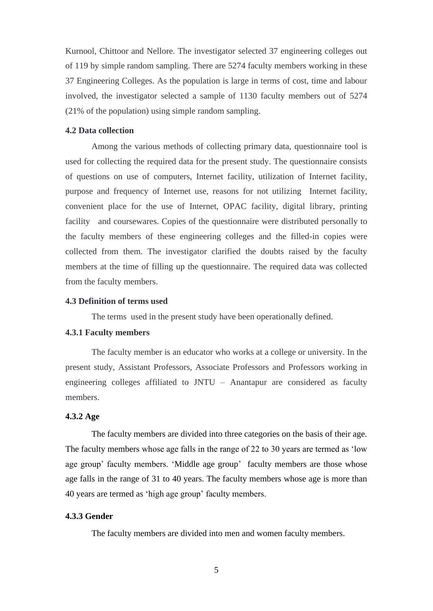Kurnool, Chittoor and Nellore. The investigator selected 37 engineering colleges out of 119 by simple random sampling. There are 5274 faculty members working in these 37 Engineering Colleges. As the population is large in terms of cost, time and labour involved, the investigator selected a sample of 1130 faculty members out of 5274 (21% of the population) using simple random sampling.

#### **4.2 Data collection**

Among the various methods of collecting primary data, questionnaire tool is used for collecting the required data for the present study. The questionnaire consists of questions on use of computers, Internet facility, utilization of Internet facility, purpose and frequency of Internet use, reasons for not utilizing Internet facility, convenient place for the use of Internet, OPAC facility, digital library, printing facility and coursewares. Copies of the questionnaire were distributed personally to the faculty members of these engineering colleges and the filled-in copies were collected from them. The investigator clarified the doubts raised by the faculty members at the time of filling up the questionnaire. The required data was collected from the faculty members.

#### **4.3 Definition of terms used**

The terms used in the present study have been operationally defined.

#### **4.3.1 Faculty members**

The faculty member is an educator who works at a college or university. In the present study, Assistant Professors, Associate Professors and Professors working in engineering colleges affiliated to JNTU – Anantapur are considered as faculty members.

#### **4.3.2 Age**

The faculty members are divided into three categories on the basis of their age. The faculty members whose age falls in the range of 22 to 30 years are termed as 'low age group' faculty members. 'Middle age group' faculty members are those whose age falls in the range of 31 to 40 years. The faculty members whose age is more than 40 years are termed as 'high age group' faculty members.

#### **4.3.3 Gender**

The faculty members are divided into men and women faculty members.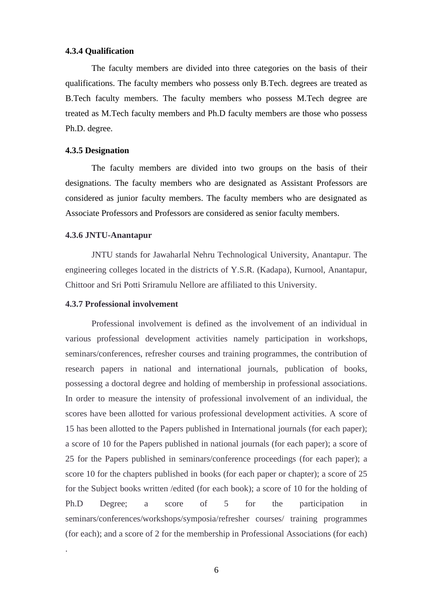#### **4.3.4 Qualification**

The faculty members are divided into three categories on the basis of their qualifications. The faculty members who possess only B.Tech. degrees are treated as B.Tech faculty members. The faculty members who possess M.Tech degree are treated as M.Tech faculty members and Ph.D faculty members are those who possess Ph.D. degree.

#### **4.3.5 Designation**

The faculty members are divided into two groups on the basis of their designations. The faculty members who are designated as Assistant Professors are considered as junior faculty members. The faculty members who are designated as Associate Professors and Professors are considered as senior faculty members.

#### **4.3.6 JNTU-Anantapur**

JNTU stands for Jawaharlal Nehru Technological University, Anantapur. The engineering colleges located in the districts of Y.S.R. (Kadapa), Kurnool, Anantapur, Chittoor and Sri Potti Sriramulu Nellore are affiliated to this University.

#### **4.3.7 Professional involvement**

.

Professional involvement is defined as the involvement of an individual in various professional development activities namely participation in workshops, seminars/conferences, refresher courses and training programmes, the contribution of research papers in national and international journals, publication of books, possessing a doctoral degree and holding of membership in professional associations. In order to measure the intensity of professional involvement of an individual, the scores have been allotted for various professional development activities. A score of 15 has been allotted to the Papers published in International journals (for each paper); a score of 10 for the Papers published in national journals (for each paper); a score of 25 for the Papers published in seminars/conference proceedings (for each paper); a score 10 for the chapters published in books (for each paper or chapter); a score of 25 for the Subject books written /edited (for each book); a score of 10 for the holding of Ph.D Degree; a score of 5 for the participation in seminars/conferences/workshops/symposia/refresher courses/ training programmes (for each); and a score of 2 for the membership in Professional Associations (for each)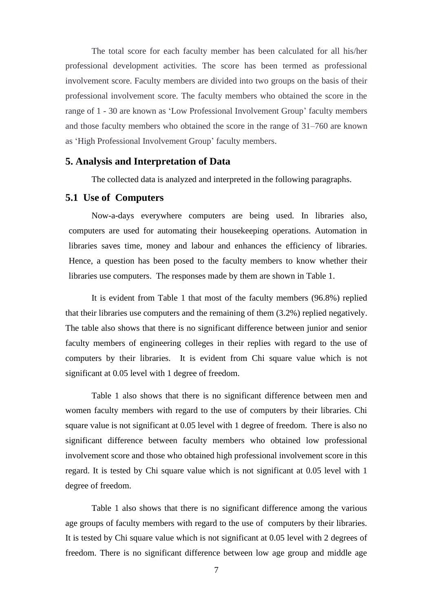The total score for each faculty member has been calculated for all his/her professional development activities. The score has been termed as professional involvement score. Faculty members are divided into two groups on the basis of their professional involvement score. The faculty members who obtained the score in the range of 1 - 30 are known as 'Low Professional Involvement Group' faculty members and those faculty members who obtained the score in the range of 31–760 are known as 'High Professional Involvement Group' faculty members.

#### **5. Analysis and Interpretation of Data**

The collected data is analyzed and interpreted in the following paragraphs.

#### **5.1 Use of Computers**

Now-a-days everywhere computers are being used. In libraries also, computers are used for automating their housekeeping operations. Automation in libraries saves time, money and labour and enhances the efficiency of libraries. Hence, a question has been posed to the faculty members to know whether their libraries use computers. The responses made by them are shown in Table 1.

It is evident from Table 1 that most of the faculty members (96.8%) replied that their libraries use computers and the remaining of them (3.2%) replied negatively. The table also shows that there is no significant difference between junior and senior faculty members of engineering colleges in their replies with regard to the use of computers by their libraries. It is evident from Chi square value which is not significant at 0.05 level with 1 degree of freedom.

Table 1 also shows that there is no significant difference between men and women faculty members with regard to the use of computers by their libraries. Chi square value is not significant at 0.05 level with 1 degree of freedom. There is also no significant difference between faculty members who obtained low professional involvement score and those who obtained high professional involvement score in this regard. It is tested by Chi square value which is not significant at 0.05 level with 1 degree of freedom.

Table 1 also shows that there is no significant difference among the various age groups of faculty members with regard to the use of computers by their libraries. It is tested by Chi square value which is not significant at 0.05 level with 2 degrees of freedom. There is no significant difference between low age group and middle age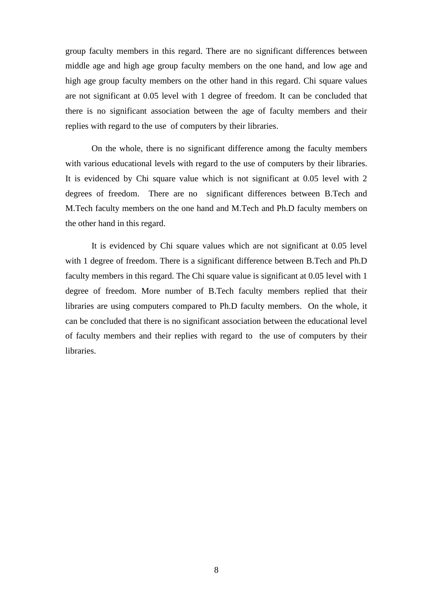group faculty members in this regard. There are no significant differences between middle age and high age group faculty members on the one hand, and low age and high age group faculty members on the other hand in this regard. Chi square values are not significant at 0.05 level with 1 degree of freedom. It can be concluded that there is no significant association between the age of faculty members and their replies with regard to the use of computers by their libraries.

On the whole, there is no significant difference among the faculty members with various educational levels with regard to the use of computers by their libraries. It is evidenced by Chi square value which is not significant at 0.05 level with 2 degrees of freedom. There are no significant differences between B.Tech and M.Tech faculty members on the one hand and M.Tech and Ph.D faculty members on the other hand in this regard.

It is evidenced by Chi square values which are not significant at 0.05 level with 1 degree of freedom. There is a significant difference between B.Tech and Ph.D faculty members in this regard. The Chi square value is significant at 0.05 level with 1 degree of freedom. More number of B.Tech faculty members replied that their libraries are using computers compared to Ph.D faculty members. On the whole, it can be concluded that there is no significant association between the educational level of faculty members and their replies with regard to the use of computers by their libraries.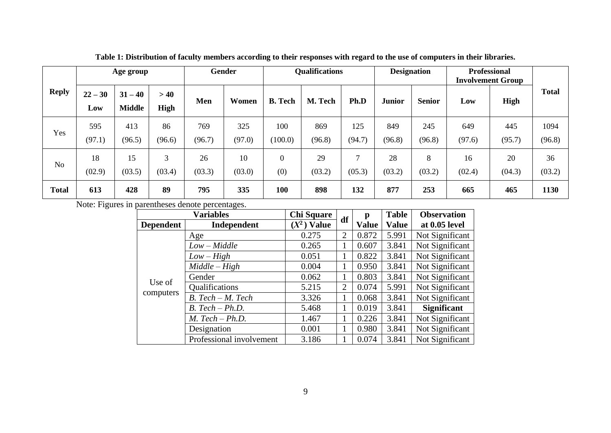|                |                  | Age group                  |              |               | <b>Gender</b> | <b>Qualifications</b> |               | <b>Designation</b>      |               | <b>Professional</b><br><b>Involvement Group</b> |               |               |                |
|----------------|------------------|----------------------------|--------------|---------------|---------------|-----------------------|---------------|-------------------------|---------------|-------------------------------------------------|---------------|---------------|----------------|
| <b>Reply</b>   | $22 - 30$<br>Low | $31 - 40$<br><b>Middle</b> | >40<br>High  | Men           | Women         | <b>B.</b> Tech        | M. Tech       | Ph.D                    | <b>Junior</b> | <b>Senior</b>                                   | Low           | <b>High</b>   | <b>Total</b>   |
| Yes            | 595<br>(97.1)    | 413<br>(96.5)              | 86<br>(96.6) | 769<br>(96.7) | 325<br>(97.0) | 100<br>(100.0)        | 869<br>(96.8) | 125<br>(94.7)           | 849<br>(96.8) | 245<br>(96.8)                                   | 649<br>(97.6) | 445<br>(95.7) | 1094<br>(96.8) |
| N <sub>o</sub> | 18<br>(02.9)     | 15<br>(03.5)               | 3<br>(03.4)  | 26<br>(03.3)  | 10<br>(03.0)  | $\theta$<br>(0)       | 29<br>(03.2)  | $\mathcal{L}$<br>(05.3) | 28<br>(03.2)  | 8<br>(03.2)                                     | 16<br>(02.4)  | 20<br>(04.3)  | 36<br>(03.2)   |
| <b>Total</b>   | 613              | 428                        | 89           | 795           | 335           | 100                   | 898           | 132                     | 877           | 253                                             | 665           | 465           | 1130           |

**Table 1: Distribution of faculty members according to their responses with regard to the use of computers in their libraries.**

Note: Figures in parentheses denote percentages.

|                  | <b>Variables</b>         | <b>Chi Square</b> | df | р            | <b>Table</b> | <b>Observation</b> |
|------------------|--------------------------|-------------------|----|--------------|--------------|--------------------|
| <b>Dependent</b> | Independent              | $(X^2)$ Value     |    | <b>Value</b> | <b>Value</b> | at 0.05 level      |
|                  | Age                      | 0.275             | 2  | 0.872        | 5.991        | Not Significant    |
|                  | $Low - Middle$           | 0.265             |    | 0.607        | 3.841        | Not Significant    |
|                  | $Low-High$               | 0.051             |    | 0.822        | 3.841        | Not Significant    |
|                  | $Middle-High$            | 0.004             |    | 0.950        | 3.841        | Not Significant    |
|                  | Gender                   | 0.062             |    | 0.803        | 3.841        | Not Significant    |
| Use of           | Qualifications           | 5.215             | 2  | 0.074        | 5.991        | Not Significant    |
| computers        | $B. Tech - M. Tech$      | 3.326             |    | 0.068        | 3.841        | Not Significant    |
|                  | $B. Tech - Ph.D.$        | 5.468             |    | 0.019        | 3.841        | <b>Significant</b> |
|                  | $M.$ Tech $-Ph.D.$       | 1.467             |    | 0.226        | 3.841        | Not Significant    |
|                  | Designation              | 0.001             |    | 0.980        | 3.841        | Not Significant    |
|                  | Professional involvement | 3.186             |    | 0.074        | 3.841        | Not Significant    |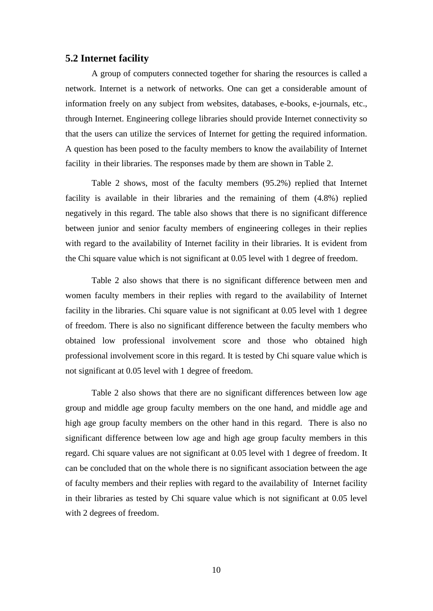# **5.2 Internet facility**

A group of computers connected together for sharing the resources is called a network. Internet is a network of networks. One can get a considerable amount of information freely on any subject from websites, databases, e-books, e-journals, etc., through Internet. Engineering college libraries should provide Internet connectivity so that the users can utilize the services of Internet for getting the required information. A question has been posed to the faculty members to know the availability of Internet facility in their libraries. The responses made by them are shown in Table 2.

Table 2 shows, most of the faculty members (95.2%) replied that Internet facility is available in their libraries and the remaining of them (4.8%) replied negatively in this regard. The table also shows that there is no significant difference between junior and senior faculty members of engineering colleges in their replies with regard to the availability of Internet facility in their libraries. It is evident from the Chi square value which is not significant at 0.05 level with 1 degree of freedom.

Table 2 also shows that there is no significant difference between men and women faculty members in their replies with regard to the availability of Internet facility in the libraries. Chi square value is not significant at 0.05 level with 1 degree of freedom. There is also no significant difference between the faculty members who obtained low professional involvement score and those who obtained high professional involvement score in this regard. It is tested by Chi square value which is not significant at 0.05 level with 1 degree of freedom.

Table 2 also shows that there are no significant differences between low age group and middle age group faculty members on the one hand, and middle age and high age group faculty members on the other hand in this regard. There is also no significant difference between low age and high age group faculty members in this regard. Chi square values are not significant at 0.05 level with 1 degree of freedom. It can be concluded that on the whole there is no significant association between the age of faculty members and their replies with regard to the availability of Internet facility in their libraries as tested by Chi square value which is not significant at 0.05 level with 2 degrees of freedom.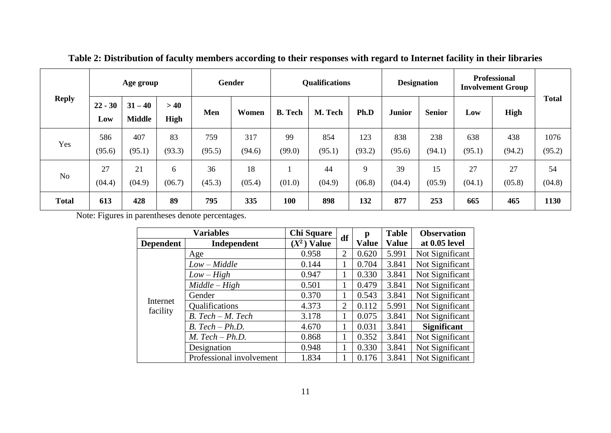|                |                  | Age group                  |              |               | Gender        |                | <b>Qualifications</b> |                       | <b>Designation</b> |               | <b>Professional</b><br><b>Involvement Group</b> |               |                |
|----------------|------------------|----------------------------|--------------|---------------|---------------|----------------|-----------------------|-----------------------|--------------------|---------------|-------------------------------------------------|---------------|----------------|
| <b>Reply</b>   | $22 - 30$<br>Low | $31 - 40$<br><b>Middle</b> | >40<br>High  | Men           | Women         | <b>B.</b> Tech | M. Tech               | Ph.D                  | <b>Junior</b>      | <b>Senior</b> | Low                                             | High          | <b>Total</b>   |
| Yes            | 586<br>(95.6)    | 407<br>(95.1)              | 83<br>(93.3) | 759<br>(95.5) | 317<br>(94.6) | 99<br>(99.0)   | 854<br>(95.1)         | 123<br>(93.2)         | 838<br>(95.6)      | 238<br>(94.1) | 638<br>(95.1)                                   | 438<br>(94.2) | 1076<br>(95.2) |
| N <sub>o</sub> | 27<br>(04.4)     | 21<br>(04.9)               | 6<br>(06.7)  | 36<br>(45.3)  | 18<br>(05.4)  | (01.0)         | 44<br>(04.9)          | $\mathbf Q$<br>(06.8) | 39<br>(04.4)       | 15<br>(05.9)  | 27<br>(04.1)                                    | 27<br>(05.8)  | 54<br>(04.8)   |
| <b>Total</b>   | 613              | 428                        | 89           | 795           | 335           | 100            | 898                   | 132                   | 877                | 253           | 665                                             | 465           | 1130           |

**Table 2: Distribution of faculty members according to their responses with regard to Internet facility in their libraries**

Note: Figures in parentheses denote percentages.

|                  | <b>Variables</b>         | <b>Chi Square</b> | df             | p            | <b>Table</b> | <b>Observation</b> |
|------------------|--------------------------|-------------------|----------------|--------------|--------------|--------------------|
| <b>Dependent</b> | Independent              | $(X^2)$ Value     |                | <b>Value</b> | <b>Value</b> | at 0.05 level      |
|                  | Age                      | 0.958             | $\overline{2}$ | 0.620        | 5.991        | Not Significant    |
|                  | $Low - Middle$           | 0.144             |                | 0.704        | 3.841        | Not Significant    |
|                  | $Low-High$               | 0.947             |                | 0.330        | 3.841        | Not Significant    |
|                  | $Middle-High$            | 0.501             |                | 0.479        | 3.841        | Not Significant    |
|                  | Gender                   | 0.370             |                | 0.543        | 3.841        | Not Significant    |
| Internet         | Qualifications           | 4.373             | $\overline{2}$ | 0.112        | 5.991        | Not Significant    |
| facility         | B. Tech - M. Tech        | 3.178             |                | 0.075        | 3.841        | Not Significant    |
|                  | $B. Tech - Ph.D.$        | 4.670             | 1              | 0.031        | 3.841        | <b>Significant</b> |
|                  | $M.$ Tech $- Ph.D.$      | 0.868             |                | 0.352        | 3.841        | Not Significant    |
|                  | Designation              | 0.948             |                | 0.330        | 3.841        | Not Significant    |
|                  | Professional involvement | 1.834             |                | 0.176        | 3.841        | Not Significant    |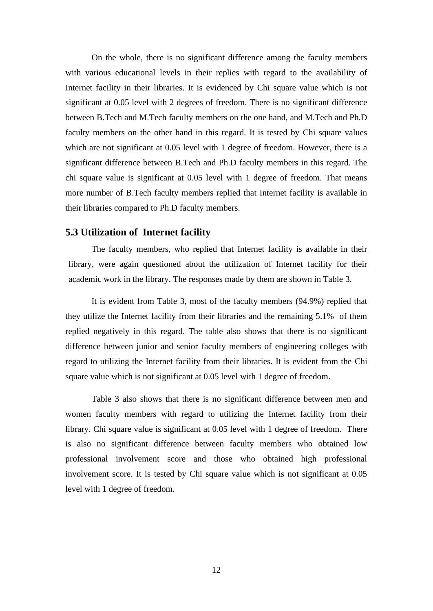On the whole, there is no significant difference among the faculty members with various educational levels in their replies with regard to the availability of Internet facility in their libraries. It is evidenced by Chi square value which is not significant at 0.05 level with 2 degrees of freedom. There is no significant difference between B.Tech and M.Tech faculty members on the one hand, and M.Tech and Ph.D faculty members on the other hand in this regard. It is tested by Chi square values which are not significant at 0.05 level with 1 degree of freedom. However, there is a significant difference between B.Tech and Ph.D faculty members in this regard. The chi square value is significant at 0.05 level with 1 degree of freedom. That means more number of B.Tech faculty members replied that Internet facility is available in their libraries compared to Ph.D faculty members.

#### **5.3 Utilization of Internet facility**

The faculty members, who replied that Internet facility is available in their library, were again questioned about the utilization of Internet facility for their academic work in the library. The responses made by them are shown in Table 3.

It is evident from Table 3, most of the faculty members (94.9%) replied that they utilize the Internet facility from their libraries and the remaining 5.1% of them replied negatively in this regard. The table also shows that there is no significant difference between junior and senior faculty members of engineering colleges with regard to utilizing the Internet facility from their libraries. It is evident from the Chi square value which is not significant at 0.05 level with 1 degree of freedom.

Table 3 also shows that there is no significant difference between men and women faculty members with regard to utilizing the Internet facility from their library. Chi square value is significant at 0.05 level with 1 degree of freedom. There is also no significant difference between faculty members who obtained low professional involvement score and those who obtained high professional involvement score. It is tested by Chi square value which is not significant at 0.05 level with 1 degree of freedom.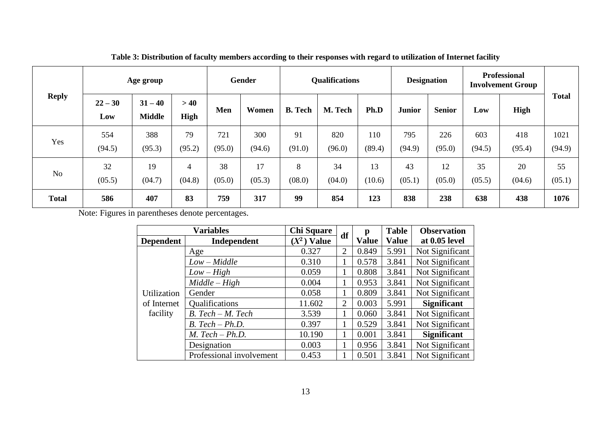|                |                  | Age group                  |              |               | <b>Gender</b> |                | <b>Qualifications</b> |               | <b>Designation</b> |               |               | <b>Professional</b><br><b>Involvement Group</b> |                |
|----------------|------------------|----------------------------|--------------|---------------|---------------|----------------|-----------------------|---------------|--------------------|---------------|---------------|-------------------------------------------------|----------------|
| <b>Reply</b>   | $22 - 30$<br>Low | $31 - 40$<br><b>Middle</b> | >40<br>High  | Men           | Women         | <b>B.</b> Tech | M. Tech               | Ph.D          | <b>Junior</b>      | <b>Senior</b> | Low           | High                                            | Total          |
| Yes            | 554<br>(94.5)    | 388<br>(95.3)              | 79<br>(95.2) | 721<br>(95.0) | 300<br>(94.6) | 91<br>(91.0)   | 820<br>(96.0)         | 110<br>(89.4) | 795<br>(94.9)      | 226<br>(95.0) | 603<br>(94.5) | 418<br>(95.4)                                   | 1021<br>(94.9) |
| N <sub>o</sub> | 32<br>(05.5)     | 19<br>(04.7)               | 4<br>(04.8)  | 38<br>(05.0)  | 17<br>(05.3)  | 8<br>(08.0)    | 34<br>(04.0)          | 13<br>(10.6)  | 43<br>(05.1)       | 12<br>(05.0)  | 35<br>(05.5)  | 20<br>(04.6)                                    | 55<br>(05.1)   |
| <b>Total</b>   | 586              | 407                        | 83           | 759           | 317           | 99             | 854                   | 123           | 838                | 238           | 638           | 438                                             | 1076           |

**Table 3: Distribution of faculty members according to their responses with regard to utilization of Internet facility**

Note: Figures in parentheses denote percentages.

|                  | <b>Variables</b>         | <b>Chi Square</b> | df             | p            | <b>Table</b> | <b>Observation</b> |
|------------------|--------------------------|-------------------|----------------|--------------|--------------|--------------------|
| <b>Dependent</b> | Independent              | $(X^2)$ Value     |                | <b>Value</b> | <b>Value</b> | at 0.05 level      |
|                  | Age                      | 0.327             | $\overline{2}$ | 0.849        | 5.991        | Not Significant    |
|                  | $Low - Middle$           | 0.310             | 1              | 0.578        | 3.841        | Not Significant    |
|                  | $Low-High$               | 0.059             |                | 0.808        | 3.841        | Not Significant    |
|                  | $Middle-High$            | 0.004             | 1              | 0.953        | 3.841        | Not Significant    |
| Utilization      | Gender                   | 0.058             |                | 0.809        | 3.841        | Not Significant    |
| of Internet      | Qualifications           | 11.602            | $\overline{2}$ | 0.003        | 5.991        | <b>Significant</b> |
| facility         | $B. Tech - M. Tech$      | 3.539             |                | 0.060        | 3.841        | Not Significant    |
|                  | $B. Tech - Ph.D.$        | 0.397             | 1              | 0.529        | 3.841        | Not Significant    |
|                  | $M.$ Tech $- Ph.D.$      | 10.190            | 1              | 0.001        | 3.841        | <b>Significant</b> |
|                  | Designation              | 0.003             | 1              | 0.956        | 3.841        | Not Significant    |
|                  | Professional involvement | 0.453             |                | 0.501        | 3.841        | Not Significant    |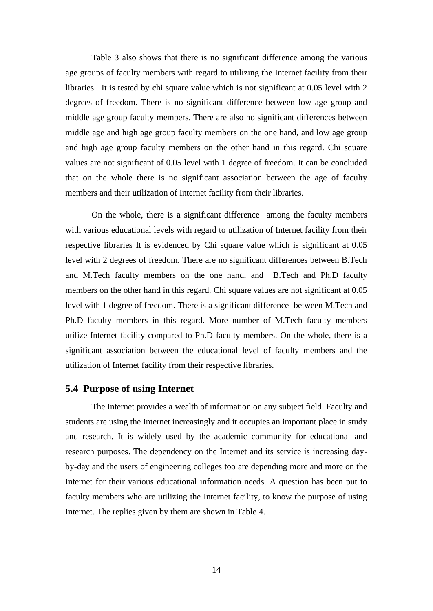Table 3 also shows that there is no significant difference among the various age groups of faculty members with regard to utilizing the Internet facility from their libraries. It is tested by chi square value which is not significant at 0.05 level with 2 degrees of freedom. There is no significant difference between low age group and middle age group faculty members. There are also no significant differences between middle age and high age group faculty members on the one hand, and low age group and high age group faculty members on the other hand in this regard. Chi square values are not significant of 0.05 level with 1 degree of freedom. It can be concluded that on the whole there is no significant association between the age of faculty members and their utilization of Internet facility from their libraries.

On the whole, there is a significant difference among the faculty members with various educational levels with regard to utilization of Internet facility from their respective libraries It is evidenced by Chi square value which is significant at 0.05 level with 2 degrees of freedom. There are no significant differences between B.Tech and M.Tech faculty members on the one hand, and B.Tech and Ph.D faculty members on the other hand in this regard. Chi square values are not significant at 0.05 level with 1 degree of freedom. There is a significant difference between M.Tech and Ph.D faculty members in this regard. More number of M.Tech faculty members utilize Internet facility compared to Ph.D faculty members. On the whole, there is a significant association between the educational level of faculty members and the utilization of Internet facility from their respective libraries.

# **5.4 Purpose of using Internet**

The Internet provides a wealth of information on any subject field. Faculty and students are using the Internet increasingly and it occupies an important place in study and research. It is widely used by the academic community for educational and research purposes. The dependency on the Internet and its service is increasing dayby-day and the users of engineering colleges too are depending more and more on the Internet for their various educational information needs. A question has been put to faculty members who are utilizing the Internet facility, to know the purpose of using Internet. The replies given by them are shown in Table 4.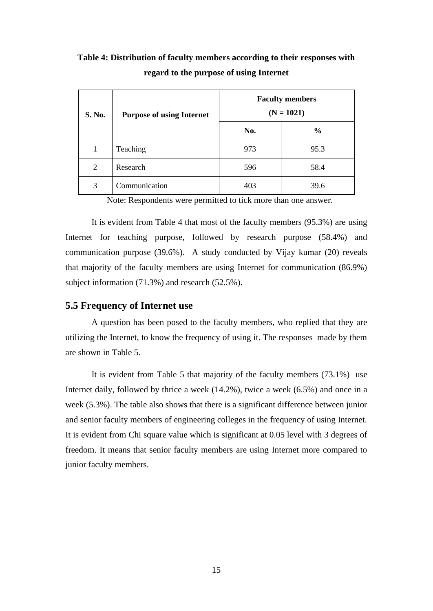**Table 4: Distribution of faculty members according to their responses with regard to the purpose of using Internet**

| S. No. | <b>Purpose of using Internet</b> |     | <b>Faculty members</b><br>$(N = 1021)$ |
|--------|----------------------------------|-----|----------------------------------------|
|        |                                  | No. | $\frac{0}{0}$                          |
| 1      | Teaching                         | 973 | 95.3                                   |
| 2      | Research                         | 596 | 58.4                                   |
| 3      | Communication                    | 403 | 39.6                                   |

Note: Respondents were permitted to tick more than one answer.

It is evident from Table 4 that most of the faculty members (95.3%) are using Internet for teaching purpose, followed by research purpose (58.4%) and communication purpose (39.6%). A study conducted by Vijay kumar (20) reveals that majority of the faculty members are using Internet for communication (86.9%) subject information (71.3%) and research (52.5%).

### **5.5 Frequency of Internet use**

A question has been posed to the faculty members, who replied that they are utilizing the Internet, to know the frequency of using it. The responses made by them are shown in Table 5.

It is evident from Table 5 that majority of the faculty members (73.1%) use Internet daily, followed by thrice a week (14.2%), twice a week (6.5%) and once in a week (5.3%). The table also shows that there is a significant difference between junior and senior faculty members of engineering colleges in the frequency of using Internet. It is evident from Chi square value which is significant at 0.05 level with 3 degrees of freedom. It means that senior faculty members are using Internet more compared to junior faculty members.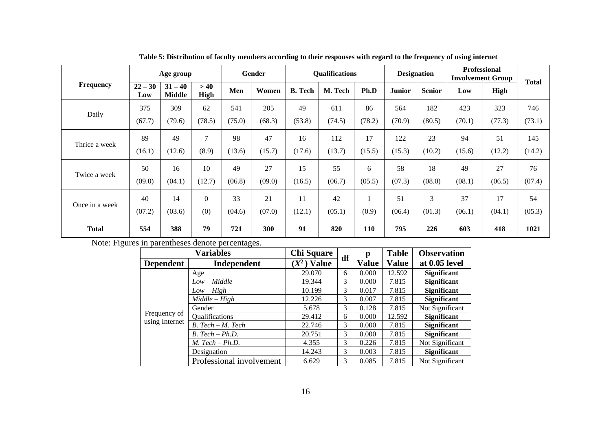|                |                  | Age group                  |              |        | Gender |                | <b>Qualifications</b> |        | <b>Designation</b> |               |        | <b>Professional</b><br><b>Involvement Group</b> | <b>Total</b> |
|----------------|------------------|----------------------------|--------------|--------|--------|----------------|-----------------------|--------|--------------------|---------------|--------|-------------------------------------------------|--------------|
| Frequency      | $22 - 30$<br>Low | $31 - 40$<br><b>Middle</b> | >40<br>High  | Men    | Women  | <b>B.</b> Tech | M. Tech               | Ph.D   | <b>Junior</b>      | <b>Senior</b> | Low    | High                                            |              |
|                | 375              | 309                        | 62           | 541    | 205    | 49             | 611                   | 86     | 564                | 182           | 423    | 323                                             | 746          |
| Daily          | (67.7)           | (79.6)                     | (78.5)       | (75.0) | (68.3) | (53.8)         | (74.5)                | (78.2) | (70.9)             | (80.5)        | (70.1) | (77.3)                                          | (73.1)       |
|                | 89               | 49                         | 7            | 98     | 47     | 16             | 112                   | 17     | 122                | 23            | 94     | 51                                              | 145          |
| Thrice a week  | (16.1)           | (12.6)                     | (8.9)        | (13.6) | (15.7) | (17.6)         | (13.7)                | (15.5) | (15.3)             | (10.2)        | (15.6) | (12.2)                                          | (14.2)       |
|                | 50               | 16                         | 10           | 49     | 27     | 15             | 55                    | 6      | 58                 | 18            | 49     | 27                                              | 76           |
| Twice a week   | (09.0)           | (04.1)                     | (12.7)       | (06.8) | (09.0) | (16.5)         | (06.7)                | (05.5) | (07.3)             | (08.0)        | (08.1) | (06.5)                                          | (07.4)       |
|                | 40               | 14                         | $\mathbf{0}$ | 33     | 21     | 11             | 42                    |        | 51                 | 3             | 37     | 17                                              | 54           |
| Once in a week | (07.2)           | (03.6)                     | (0)          | (04.6) | (07.0) | (12.1)         | (05.1)                | (0.9)  | (06.4)             | (01.3)        | (06.1) | (04.1)                                          | (05.3)       |
| <b>Total</b>   | 554              | 388                        | 79           | 721    | 300    | 91             | 820                   | 110    | 795                | 226           | 603    | 418                                             | 1021         |

**Table 5: Distribution of faculty members according to their responses with regard to the frequency of using internet** 

Note: Figures in parentheses denote percentages.

|                  | <b>Variables</b>         | <b>Chi Square</b> |    | p            | <b>Table</b> | <b>Observation</b> |
|------------------|--------------------------|-------------------|----|--------------|--------------|--------------------|
| <b>Dependent</b> | Independent              | $(X^2)$ Value     | df | <b>Value</b> | <b>Value</b> | at 0.05 level      |
|                  | Age                      | 29.070            | 6  | 0.000        | 12.592       | <b>Significant</b> |
|                  | $Low - Middle$           | 19.344            | 3  | 0.000        | 7.815        | <b>Significant</b> |
|                  | $Low-High$               | 10.199            | 3  | 0.017        | 7.815        | <b>Significant</b> |
|                  | $Middle-High$            | 12.226            | 3  | 0.007        | 7.815        | <b>Significant</b> |
|                  | Gender                   | 5.678             | 3  | 0.128        | 7.815        | Not Significant    |
| Frequency of     | Qualifications           | 29.412            | 6  | 0.000        | 12.592       | <b>Significant</b> |
| using Internet   | B. Tech - M. Tech        | 22.746            | 3  | 0.000        | 7.815        | <b>Significant</b> |
|                  | $B. Tech - Ph.D.$        | 20.751            | 3  | 0.000        | 7.815        | <b>Significant</b> |
|                  | $M.$ Tech $- Ph.D.$      | 4.355             | 3  | 0.226        | 7.815        | Not Significant    |
|                  | Designation              | 14.243            | 3  | 0.003        | 7.815        | <b>Significant</b> |
|                  | Professional involvement | 6.629             | 3  | 0.085        | 7.815        | Not Significant    |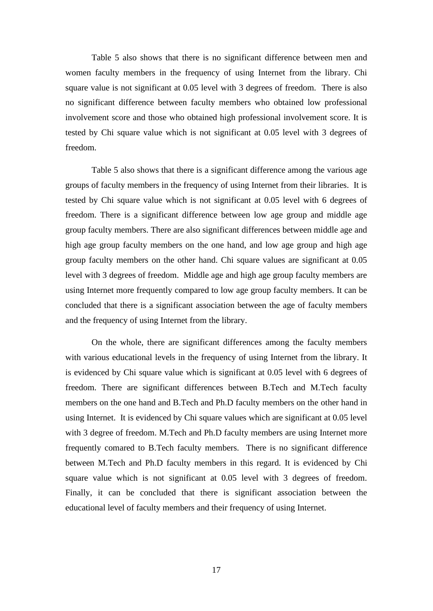Table 5 also shows that there is no significant difference between men and women faculty members in the frequency of using Internet from the library. Chi square value is not significant at 0.05 level with 3 degrees of freedom. There is also no significant difference between faculty members who obtained low professional involvement score and those who obtained high professional involvement score. It is tested by Chi square value which is not significant at 0.05 level with 3 degrees of freedom.

Table 5 also shows that there is a significant difference among the various age groups of faculty members in the frequency of using Internet from their libraries. It is tested by Chi square value which is not significant at 0.05 level with 6 degrees of freedom. There is a significant difference between low age group and middle age group faculty members. There are also significant differences between middle age and high age group faculty members on the one hand, and low age group and high age group faculty members on the other hand. Chi square values are significant at 0.05 level with 3 degrees of freedom. Middle age and high age group faculty members are using Internet more frequently compared to low age group faculty members. It can be concluded that there is a significant association between the age of faculty members and the frequency of using Internet from the library.

On the whole, there are significant differences among the faculty members with various educational levels in the frequency of using Internet from the library. It is evidenced by Chi square value which is significant at 0.05 level with 6 degrees of freedom. There are significant differences between B.Tech and M.Tech faculty members on the one hand and B.Tech and Ph.D faculty members on the other hand in using Internet. It is evidenced by Chi square values which are significant at 0.05 level with 3 degree of freedom. M.Tech and Ph.D faculty members are using Internet more frequently comared to B.Tech faculty members. There is no significant difference between M.Tech and Ph.D faculty members in this regard. It is evidenced by Chi square value which is not significant at 0.05 level with 3 degrees of freedom. Finally, it can be concluded that there is significant association between the educational level of faculty members and their frequency of using Internet.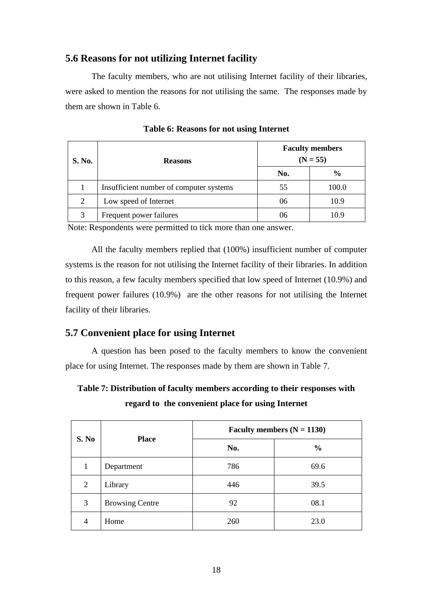# **5.6 Reasons for not utilizing Internet facility**

The faculty members, who are not utilising Internet facility of their libraries, were asked to mention the reasons for not utilising the same. The responses made by them are shown in Table 6.

| S. No. | <b>Reasons</b>                          |     | <b>Faculty members</b><br>$(N = 55)$ |
|--------|-----------------------------------------|-----|--------------------------------------|
|        |                                         | No. | $\frac{6}{6}$                        |
|        | Insufficient number of computer systems | 55  | 100.0                                |
| 2      | Low speed of Internet                   | 06  | 10.9                                 |
|        | Frequent power failures                 | 06  | 109                                  |

**Table 6: Reasons for not using Internet**

Note: Respondents were permitted to tick more than one answer.

All the faculty members replied that (100%) insufficient number of computer systems is the reason for not utilising the Internet facility of their libraries. In addition to this reason, a few faculty members specified that low speed of Internet (10.9%) and frequent power failures (10.9%) are the other reasons for not utilising the Internet facility of their libraries.

# **5.7 Convenient place for using Internet**

A question has been posed to the faculty members to know the convenient place for using Internet. The responses made by them are shown in Table 7.

**Table 7: Distribution of faculty members according to their responses with regard to the convenient place for using Internet**

|                |                        | Faculty members $(N = 1130)$ |               |  |  |  |  |
|----------------|------------------------|------------------------------|---------------|--|--|--|--|
| S. No          | <b>Place</b>           | No.                          | $\frac{0}{0}$ |  |  |  |  |
| 1              | Department             | 786                          | 69.6          |  |  |  |  |
| 2              | Library                | 446                          | 39.5          |  |  |  |  |
| 3              | <b>Browsing Centre</b> | 92                           | 08.1          |  |  |  |  |
| $\overline{4}$ | Home                   | 260                          | 23.0          |  |  |  |  |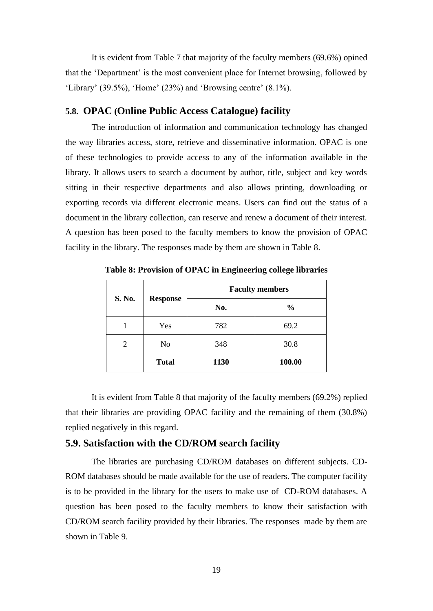It is evident from Table 7 that majority of the faculty members (69.6%) opined that the 'Department' is the most convenient place for Internet browsing, followed by 'Library' (39.5%), 'Home' (23%) and 'Browsing centre' (8.1%).

#### **5.8. OPAC (Online Public Access Catalogue) facility**

The introduction of information and communication technology has changed the way libraries access, store, retrieve and disseminative information. OPAC is one of these technologies to provide access to any of the information available in the library. It allows users to search a document by author, title, subject and key words sitting in their respective departments and also allows printing, downloading or exporting records via different electronic means. Users can find out the status of a document in the library collection, can reserve and renew a document of their interest. A question has been posed to the faculty members to know the provision of OPAC facility in the library. The responses made by them are shown in Table 8.

|                |                 | <b>Faculty members</b> |               |  |  |  |  |
|----------------|-----------------|------------------------|---------------|--|--|--|--|
| S. No.         | <b>Response</b> | No.                    | $\frac{0}{0}$ |  |  |  |  |
|                | Yes             | 782                    | 69.2          |  |  |  |  |
| $\overline{2}$ | No              | 348                    | 30.8          |  |  |  |  |
|                | <b>Total</b>    | 1130                   | 100.00        |  |  |  |  |

**Table 8: Provision of OPAC in Engineering college libraries**

It is evident from Table 8 that majority of the faculty members (69.2%) replied that their libraries are providing OPAC facility and the remaining of them (30.8%) replied negatively in this regard.

### **5.9. Satisfaction with the CD/ROM search facility**

The libraries are purchasing CD/ROM databases on different subjects. CD-ROM databases should be made available for the use of readers. The computer facility is to be provided in the library for the users to make use of CD-ROM databases. A question has been posed to the faculty members to know their satisfaction with CD/ROM search facility provided by their libraries. The responses made by them are shown in Table 9.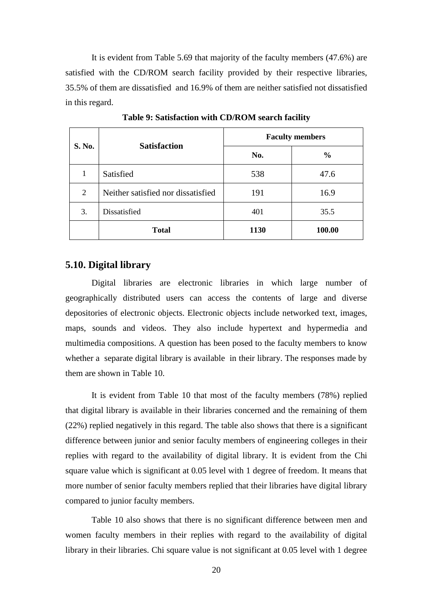It is evident from Table 5.69 that majority of the faculty members (47.6%) are satisfied with the CD/ROM search facility provided by their respective libraries, 35.5% of them are dissatisfied and 16.9% of them are neither satisfied not dissatisfied in this regard.

| S. No. | <b>Satisfaction</b>                | <b>Faculty members</b> |               |  |  |  |  |
|--------|------------------------------------|------------------------|---------------|--|--|--|--|
|        |                                    | No.                    | $\frac{0}{0}$ |  |  |  |  |
|        | Satisfied                          | 538                    | 47.6          |  |  |  |  |
| 2      | Neither satisfied nor dissatisfied | 191                    | 16.9          |  |  |  |  |
| 3.     | Dissatisfied                       | 401                    | 35.5          |  |  |  |  |
|        | <b>Total</b>                       | 1130                   | 100.00        |  |  |  |  |

**Table 9: Satisfaction with CD/ROM search facility**

#### **5.10. Digital library**

Digital libraries are electronic libraries in which large number of geographically distributed users can access the contents of large and diverse depositories of electronic objects. Electronic objects include networked text, images, maps, sounds and videos. They also include hypertext and hypermedia and multimedia compositions. A question has been posed to the faculty members to know whether a separate digital library is available in their library. The responses made by them are shown in Table 10.

It is evident from Table 10 that most of the faculty members (78%) replied that digital library is available in their libraries concerned and the remaining of them (22%) replied negatively in this regard. The table also shows that there is a significant difference between junior and senior faculty members of engineering colleges in their replies with regard to the availability of digital library. It is evident from the Chi square value which is significant at 0.05 level with 1 degree of freedom. It means that more number of senior faculty members replied that their libraries have digital library compared to junior faculty members.

Table 10 also shows that there is no significant difference between men and women faculty members in their replies with regard to the availability of digital library in their libraries. Chi square value is not significant at 0.05 level with 1 degree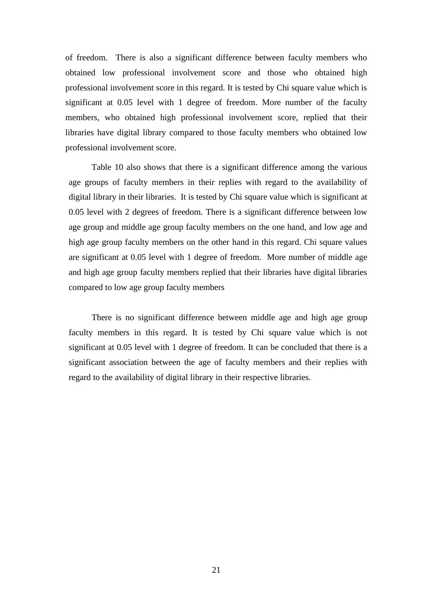of freedom. There is also a significant difference between faculty members who obtained low professional involvement score and those who obtained high professional involvement score in this regard. It is tested by Chi square value which is significant at 0.05 level with 1 degree of freedom. More number of the faculty members, who obtained high professional involvement score, replied that their libraries have digital library compared to those faculty members who obtained low professional involvement score.

Table 10 also shows that there is a significant difference among the various age groups of faculty members in their replies with regard to the availability of digital library in their libraries. It is tested by Chi square value which is significant at 0.05 level with 2 degrees of freedom. There is a significant difference between low age group and middle age group faculty members on the one hand, and low age and high age group faculty members on the other hand in this regard. Chi square values are significant at 0.05 level with 1 degree of freedom. More number of middle age and high age group faculty members replied that their libraries have digital libraries compared to low age group faculty members

There is no significant difference between middle age and high age group faculty members in this regard. It is tested by Chi square value which is not significant at 0.05 level with 1 degree of freedom. It can be concluded that there is a significant association between the age of faculty members and their replies with regard to the availability of digital library in their respective libraries.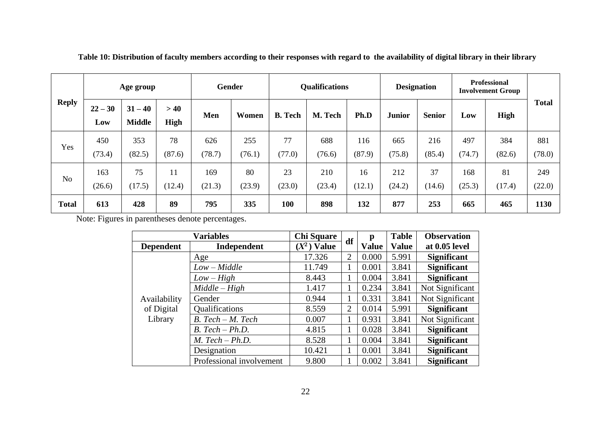|                | Age group        |                            |             | Gender |        | <b>Qualifications</b> |         |        | <b>Designation</b> |               | <b>Professional</b><br><b>Involvement Group</b> |        |              |
|----------------|------------------|----------------------------|-------------|--------|--------|-----------------------|---------|--------|--------------------|---------------|-------------------------------------------------|--------|--------------|
| <b>Reply</b>   | $22 - 30$<br>Low | $31 - 40$<br><b>Middle</b> | >40<br>High | Men    | Women  | <b>B.</b> Tech        | M. Tech | Ph.D   | <b>Junior</b>      | <b>Senior</b> | Low                                             | High   | <b>Total</b> |
| Yes            | 450              | 353                        | 78          | 626    | 255    | 77                    | 688     | 116    | 665                | 216           | 497                                             | 384    | 881          |
|                | (73.4)           | (82.5)                     | (87.6)      | (78.7) | (76.1) | (77.0)                | (76.6)  | (87.9) | (75.8)             | (85.4)        | (74.7)                                          | (82.6) | (78.0)       |
| N <sub>o</sub> | 163              | 75                         | 11          | 169    | 80     | 23                    | 210     | 16     | 212                | 37            | 168                                             | 81     | 249          |
|                | (26.6)           | (17.5)                     | (12.4)      | (21.3) | (23.9) | (23.0)                | (23.4)  | (12.1) | (24.2)             | (14.6)        | (25.3)                                          | (17.4) | (22.0)       |
| <b>Total</b>   | 613              | 428                        | 89          | 795    | 335    | 100                   | 898     | 132    | 877                | 253           | 665                                             | 465    | 1130         |

**Table 10: Distribution of faculty members according to their responses with regard to the availability of digital library in their library**

Note: Figures in parentheses denote percentages.

|                  | <b>Variables</b>         | <b>Chi Square</b> | df             | р            | <b>Table</b> | <b>Observation</b> |
|------------------|--------------------------|-------------------|----------------|--------------|--------------|--------------------|
| <b>Dependent</b> | Independent              | $(X^2)$ Value     |                | <b>Value</b> | <b>Value</b> | at 0.05 level      |
|                  | Age                      | 17.326            | $\overline{2}$ | 0.000        | 5.991        | <b>Significant</b> |
|                  | $Low - Middle$           | 11.749            |                | 0.001        | 3.841        | <b>Significant</b> |
|                  | $Low-High$               | 8.443             |                | 0.004        | 3.841        | <b>Significant</b> |
|                  | $Middle-High$            | 1.417             |                | 0.234        | 3.841        | Not Significant    |
| Availability     | Gender                   | 0.944             |                | 0.331        | 3.841        | Not Significant    |
| of Digital       | Qualifications           | 8.559             | 2              | 0.014        | 5.991        | <b>Significant</b> |
| Library          | $B. Tech - M. Tech$      | 0.007             |                | 0.931        | 3.841        | Not Significant    |
|                  | $B. Tech - Ph.D.$        | 4.815             |                | 0.028        | 3.841        | <b>Significant</b> |
|                  | $M.$ Tech $- Ph.D.$      | 8.528             |                | 0.004        | 3.841        | <b>Significant</b> |
|                  | Designation              | 10.421            |                | 0.001        | 3.841        | <b>Significant</b> |
|                  | Professional involvement | 9.800             |                | 0.002        | 3.841        | <b>Significant</b> |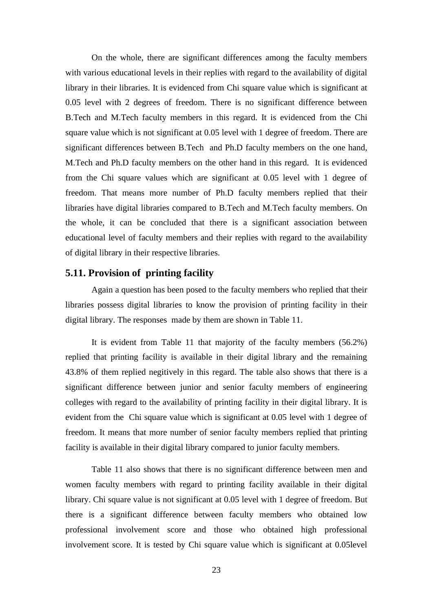On the whole, there are significant differences among the faculty members with various educational levels in their replies with regard to the availability of digital library in their libraries. It is evidenced from Chi square value which is significant at 0.05 level with 2 degrees of freedom. There is no significant difference between B.Tech and M.Tech faculty members in this regard. It is evidenced from the Chi square value which is not significant at 0.05 level with 1 degree of freedom. There are significant differences between B.Tech and Ph.D faculty members on the one hand, M.Tech and Ph.D faculty members on the other hand in this regard. It is evidenced from the Chi square values which are significant at 0.05 level with 1 degree of freedom. That means more number of Ph.D faculty members replied that their libraries have digital libraries compared to B.Tech and M.Tech faculty members. On the whole, it can be concluded that there is a significant association between educational level of faculty members and their replies with regard to the availability of digital library in their respective libraries.

#### **5.11. Provision of printing facility**

Again a question has been posed to the faculty members who replied that their libraries possess digital libraries to know the provision of printing facility in their digital library. The responses made by them are shown in Table 11.

It is evident from Table 11 that majority of the faculty members (56.2%) replied that printing facility is available in their digital library and the remaining 43.8% of them replied negitively in this regard. The table also shows that there is a significant difference between junior and senior faculty members of engineering colleges with regard to the availability of printing facility in their digital library. It is evident from the Chi square value which is significant at 0.05 level with 1 degree of freedom. It means that more number of senior faculty members replied that printing facility is available in their digital library compared to junior faculty members.

Table 11 also shows that there is no significant difference between men and women faculty members with regard to printing facility available in their digital library. Chi square value is not significant at 0.05 level with 1 degree of freedom. But there is a significant difference between faculty members who obtained low professional involvement score and those who obtained high professional involvement score. It is tested by Chi square value which is significant at 0.05level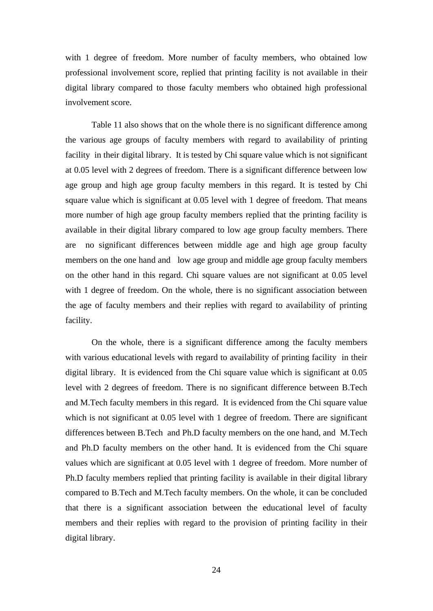with 1 degree of freedom. More number of faculty members, who obtained low professional involvement score, replied that printing facility is not available in their digital library compared to those faculty members who obtained high professional involvement score.

Table 11 also shows that on the whole there is no significant difference among the various age groups of faculty members with regard to availability of printing facility in their digital library. It is tested by Chi square value which is not significant at 0.05 level with 2 degrees of freedom. There is a significant difference between low age group and high age group faculty members in this regard. It is tested by Chi square value which is significant at 0.05 level with 1 degree of freedom. That means more number of high age group faculty members replied that the printing facility is available in their digital library compared to low age group faculty members. There are no significant differences between middle age and high age group faculty members on the one hand and low age group and middle age group faculty members on the other hand in this regard. Chi square values are not significant at 0.05 level with 1 degree of freedom. On the whole, there is no significant association between the age of faculty members and their replies with regard to availability of printing facility.

On the whole, there is a significant difference among the faculty members with various educational levels with regard to availability of printing facility in their digital library. It is evidenced from the Chi square value which is significant at 0.05 level with 2 degrees of freedom. There is no significant difference between B.Tech and M.Tech faculty members in this regard. It is evidenced from the Chi square value which is not significant at 0.05 level with 1 degree of freedom. There are significant differences between B.Tech and Ph.D faculty members on the one hand, and M.Tech and Ph.D faculty members on the other hand. It is evidenced from the Chi square values which are significant at 0.05 level with 1 degree of freedom. More number of Ph.D faculty members replied that printing facility is available in their digital library compared to B.Tech and M.Tech faculty members. On the whole, it can be concluded that there is a significant association between the educational level of faculty members and their replies with regard to the provision of printing facility in their digital library.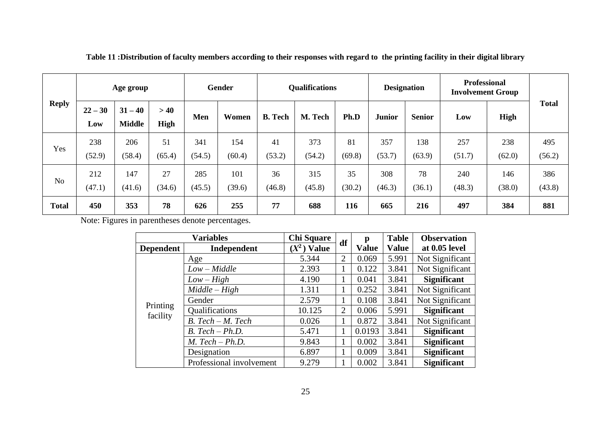|                | Age group        |                            | Gender             |               | <b>Qualifications</b> |                |               | <b>Designation</b> |               | <b>Professional</b><br><b>Involvement Group</b> |               |               |               |
|----------------|------------------|----------------------------|--------------------|---------------|-----------------------|----------------|---------------|--------------------|---------------|-------------------------------------------------|---------------|---------------|---------------|
| <b>Reply</b>   | $22 - 30$<br>Low | $31 - 40$<br><b>Middle</b> | >40<br><b>High</b> | Men           | Women                 | <b>B.</b> Tech | M. Tech       | Ph.D               | <b>Junior</b> | <b>Senior</b>                                   | Low           | High          | <b>Total</b>  |
| Yes            | 238<br>(52.9)    | 206<br>(58.4)              | 51<br>(65.4)       | 341<br>(54.5) | 154<br>(60.4)         | 41<br>(53.2)   | 373<br>(54.2) | 81<br>(69.8)       | 357<br>(53.7) | 138<br>(63.9)                                   | 257<br>(51.7) | 238<br>(62.0) | 495<br>(56.2) |
| N <sub>o</sub> | 212<br>(47.1)    | 147<br>(41.6)              | 27<br>(34.6)       | 285<br>(45.5) | 101<br>(39.6)         | 36<br>(46.8)   | 315<br>(45.8) | 35<br>(30.2)       | 308<br>(46.3) | 78<br>(36.1)                                    | 240<br>(48.3) | 146<br>(38.0) | 386<br>(43.8) |
| <b>Total</b>   | 450              | 353                        | 78                 | 626           | 255                   | 77             | 688           | 116                | 665           | 216                                             | 497           | 384           | 881           |

**Table 11 :Distribution of faculty members according to their responses with regard to the printing facility in their digital library**

Note: Figures in parentheses denote percentages.

|                      | <b>Chi Square</b>        | df            |                | <b>Table</b> | <b>Observation</b> |                    |
|----------------------|--------------------------|---------------|----------------|--------------|--------------------|--------------------|
| <b>Dependent</b>     | Independent              | $(X^2)$ Value |                | <b>Value</b> | <b>Value</b>       | at 0.05 level      |
|                      | Age                      | 5.344         | $\overline{2}$ | 0.069        | 5.991              | Not Significant    |
|                      | $Low - Middle$           | 2.393         |                | 0.122        | 3.841              | Not Significant    |
|                      | $Low-High$               | 4.190         |                | 0.041        | 3.841              | <b>Significant</b> |
|                      | $Middle-High$            | 1.311         |                | 0.252        | 3.841              | Not Significant    |
|                      | Gender                   | 2.579         |                | 0.108        | 3.841              | Not Significant    |
| Printing<br>facility | Qualifications           | 10.125        | 2              | 0.006        | 5.991              | <b>Significant</b> |
|                      | $B. Tech - M. Tech$      | 0.026         |                | 0.872        | 3.841              | Not Significant    |
|                      | $B. Tech - Ph.D.$        | 5.471         |                | 0.0193       | 3.841              | <b>Significant</b> |
|                      | $M.$ Tech $-Ph.D.$       | 9.843         |                | 0.002        | 3.841              | <b>Significant</b> |
|                      | Designation              | 6.897         |                | 0.009        | 3.841              | <b>Significant</b> |
|                      | Professional involvement | 9.279         |                | 0.002        | 3.841              | <b>Significant</b> |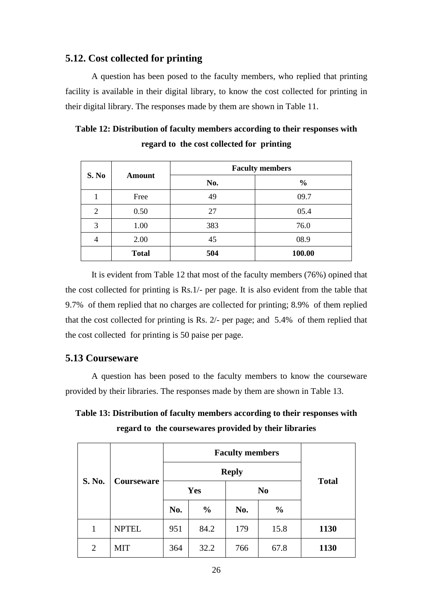# **5.12. Cost collected for printing**

A question has been posed to the faculty members, who replied that printing facility is available in their digital library, to know the cost collected for printing in their digital library. The responses made by them are shown in Table 11.

| S. No          | <b>Amount</b> | <b>Faculty members</b> |               |  |  |  |  |
|----------------|---------------|------------------------|---------------|--|--|--|--|
|                |               | No.                    | $\frac{0}{0}$ |  |  |  |  |
|                | Free          | 49                     | 09.7          |  |  |  |  |
| $\overline{2}$ | 0.50          | 27                     | 05.4          |  |  |  |  |
| 3              | 1.00          | 383                    | 76.0          |  |  |  |  |
| 4              | 2.00          | 45                     | 08.9          |  |  |  |  |
|                | <b>Total</b>  | 504                    | 100.00        |  |  |  |  |

**Table 12: Distribution of faculty members according to their responses with regard to the cost collected for printing**

It is evident from Table 12 that most of the faculty members (76%) opined that the cost collected for printing is Rs.1/- per page. It is also evident from the table that 9.7% of them replied that no charges are collected for printing; 8.9% of them replied that the cost collected for printing is Rs. 2/- per page; and 5.4% of them replied that the cost collected for printing is 50 paise per page.

# **5.13 Courseware**

A question has been posed to the faculty members to know the courseware provided by their libraries. The responses made by them are shown in Table 13.

**Table 13: Distribution of faculty members according to their responses with regard to the coursewares provided by their libraries**

| S. No.         |                   |     | <b>Faculty members</b><br><b>Reply</b> |     |                |              |
|----------------|-------------------|-----|----------------------------------------|-----|----------------|--------------|
|                | <b>Courseware</b> |     | Yes                                    |     | N <sub>0</sub> | <b>Total</b> |
|                |                   | No. | $\frac{0}{0}$                          | No. | $\frac{0}{0}$  |              |
| 1              | <b>NPTEL</b>      | 951 | 84.2                                   | 179 | 15.8           | 1130         |
| $\overline{2}$ | <b>MIT</b>        | 364 | 32.2                                   | 766 | 67.8           | 1130         |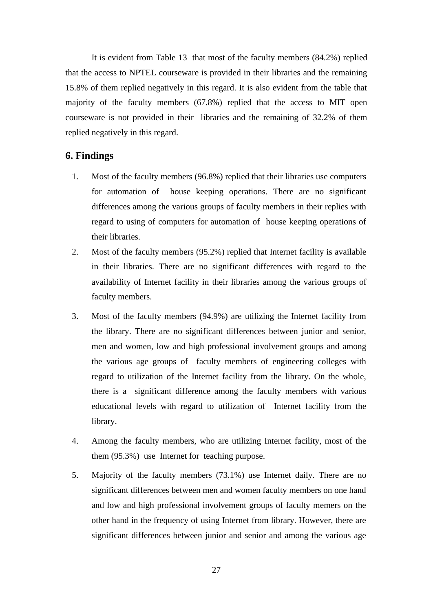It is evident from Table 13 that most of the faculty members (84.2%) replied that the access to NPTEL courseware is provided in their libraries and the remaining 15.8% of them replied negatively in this regard. It is also evident from the table that majority of the faculty members (67.8%) replied that the access to MIT open courseware is not provided in their libraries and the remaining of 32.2% of them replied negatively in this regard.

# **6. Findings**

- 1. Most of the faculty members (96.8%) replied that their libraries use computers for automation of house keeping operations. There are no significant differences among the various groups of faculty members in their replies with regard to using of computers for automation of house keeping operations of their libraries.
- 2. Most of the faculty members (95.2%) replied that Internet facility is available in their libraries. There are no significant differences with regard to the availability of Internet facility in their libraries among the various groups of faculty members.
- 3. Most of the faculty members (94.9%) are utilizing the Internet facility from the library. There are no significant differences between junior and senior, men and women, low and high professional involvement groups and among the various age groups of faculty members of engineering colleges with regard to utilization of the Internet facility from the library. On the whole, there is a significant difference among the faculty members with various educational levels with regard to utilization of Internet facility from the library.
- 4. Among the faculty members, who are utilizing Internet facility, most of the them (95.3%) use Internet for teaching purpose.
- 5. Majority of the faculty members (73.1%) use Internet daily. There are no significant differences between men and women faculty members on one hand and low and high professional involvement groups of faculty memers on the other hand in the frequency of using Internet from library. However, there are significant differences between junior and senior and among the various age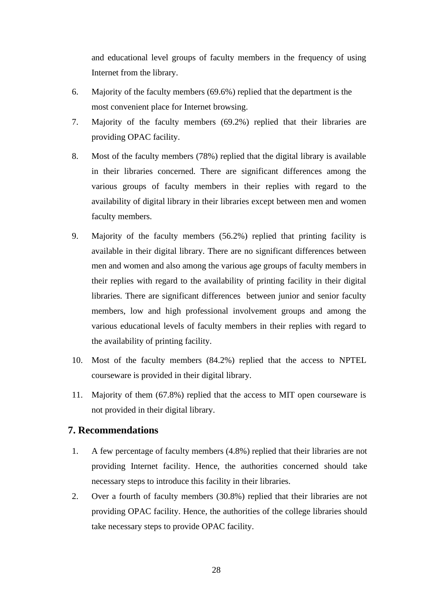and educational level groups of faculty members in the frequency of using Internet from the library.

- 6. Majority of the faculty members (69.6%) replied that the department is the most convenient place for Internet browsing.
- 7. Majority of the faculty members (69.2%) replied that their libraries are providing OPAC facility.
- 8. Most of the faculty members (78%) replied that the digital library is available in their libraries concerned. There are significant differences among the various groups of faculty members in their replies with regard to the availability of digital library in their libraries except between men and women faculty members.
- 9. Majority of the faculty members (56.2%) replied that printing facility is available in their digital library. There are no significant differences between men and women and also among the various age groups of faculty members in their replies with regard to the availability of printing facility in their digital libraries. There are significant differences between junior and senior faculty members, low and high professional involvement groups and among the various educational levels of faculty members in their replies with regard to the availability of printing facility.
- 10. Most of the faculty members (84.2%) replied that the access to NPTEL courseware is provided in their digital library.
- 11. Majority of them (67.8%) replied that the access to MIT open courseware is not provided in their digital library.

# **7. Recommendations**

- 1. A few percentage of faculty members (4.8%) replied that their libraries are not providing Internet facility. Hence, the authorities concerned should take necessary steps to introduce this facility in their libraries.
- 2. Over a fourth of faculty members (30.8%) replied that their libraries are not providing OPAC facility. Hence, the authorities of the college libraries should take necessary steps to provide OPAC facility.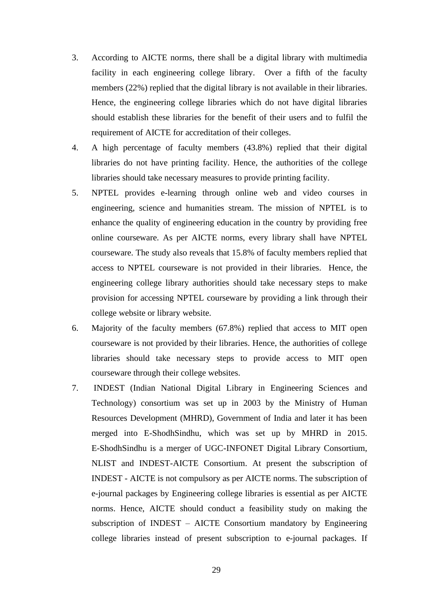- 3. According to AICTE norms, there shall be a digital library with multimedia facility in each engineering college library. Over a fifth of the faculty members (22%) replied that the digital library is not available in their libraries. Hence, the engineering college libraries which do not have digital libraries should establish these libraries for the benefit of their users and to fulfil the requirement of AICTE for accreditation of their colleges.
- 4. A high percentage of faculty members (43.8%) replied that their digital libraries do not have printing facility. Hence, the authorities of the college libraries should take necessary measures to provide printing facility.
- 5. NPTEL provides e-learning through online web and video courses in engineering, science and humanities stream. The mission of NPTEL is to enhance the quality of engineering education in the country by providing free online courseware. As per AICTE norms, every library shall have NPTEL courseware. The study also reveals that 15.8% of faculty members replied that access to NPTEL courseware is not provided in their libraries. Hence, the engineering college library authorities should take necessary steps to make provision for accessing NPTEL courseware by providing a link through their college website or library website.
- 6. Majority of the faculty members (67.8%) replied that access to MIT open courseware is not provided by their libraries. Hence, the authorities of college libraries should take necessary steps to provide access to MIT open courseware through their college websites.
- 7. INDEST (Indian National Digital Library in Engineering Sciences and Technology) consortium was set up in 2003 by the Ministry of Human Resources Development (MHRD), Government of India and later it has been merged into E-ShodhSindhu, which was set up by MHRD in 2015. E-ShodhSindhu is a merger of UGC-INFONET Digital Library Consortium, NLIST and INDEST-AICTE Consortium. At present the subscription of INDEST - AICTE is not compulsory as per AICTE norms. The subscription of e-journal packages by Engineering college libraries is essential as per AICTE norms. Hence, AICTE should conduct a feasibility study on making the subscription of INDEST – AICTE Consortium mandatory by Engineering college libraries instead of present subscription to e-journal packages. If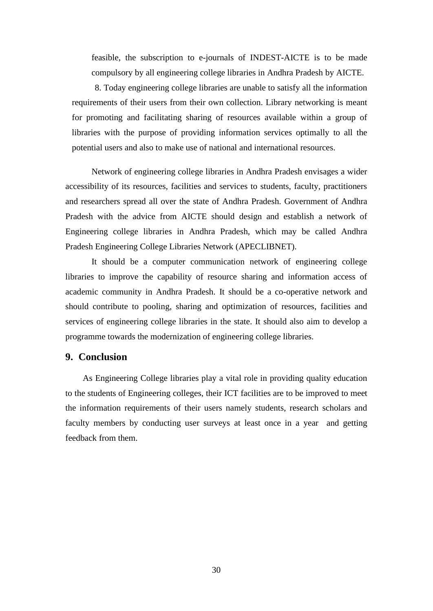feasible, the subscription to e-journals of INDEST-AICTE is to be made compulsory by all engineering college libraries in Andhra Pradesh by AICTE.

8. Today engineering college libraries are unable to satisfy all the information requirements of their users from their own collection. Library networking is meant for promoting and facilitating sharing of resources available within a group of libraries with the purpose of providing information services optimally to all the potential users and also to make use of national and international resources.

Network of engineering college libraries in Andhra Pradesh envisages a wider accessibility of its resources, facilities and services to students, faculty, practitioners and researchers spread all over the state of Andhra Pradesh. Government of Andhra Pradesh with the advice from AICTE should design and establish a network of Engineering college libraries in Andhra Pradesh, which may be called Andhra Pradesh Engineering College Libraries Network (APECLIBNET).

It should be a computer communication network of engineering college libraries to improve the capability of resource sharing and information access of academic community in Andhra Pradesh. It should be a co-operative network and should contribute to pooling, sharing and optimization of resources, facilities and services of engineering college libraries in the state. It should also aim to develop a programme towards the modernization of engineering college libraries.

### **9. Conclusion**

 As Engineering College libraries play a vital role in providing quality education to the students of Engineering colleges, their ICT facilities are to be improved to meet the information requirements of their users namely students, research scholars and faculty members by conducting user surveys at least once in a year and getting feedback from them.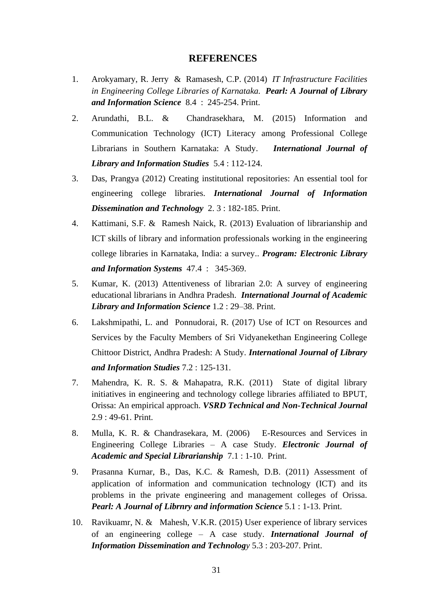#### **REFERENCES**

- 1. Arokyamary, R. Jerry & Ramasesh, C.P. (2014) *IT Infrastructure Facilities in Engineering College Libraries of Karnataka. Pearl: A Journal of Library and Information Science* 8.4 : 245-254. Print.
- 2. Arundathi, B.L. & Chandrasekhara, M. (2015) Information and Communication Technology (ICT) Literacy among Professional College Librarians in Southern Karnataka: A Study. *International Journal of Library and Information Studies* 5.4 : 112-124.
- 3. Das, Prangya (2012) Creating institutional repositories: An essential tool for engineering college libraries. *International Journal of Information Dissemination and Technology* 2. 3 : 182-185. Print.
- 4. Kattimani, S.F. & Ramesh Naick, R. (2013) Evaluation of librarianship and ICT skills of library and information professionals working in the engineering college libraries in Karnataka, India: a survey.. *Program: Electronic Library and Information Systems* 47.4 : 345-369.
- 5. Kumar, K. (2013) Attentiveness of librarian 2.0: A survey of engineering educational librarians in Andhra Pradesh. *International Journal of Academic Library and Information Science* 1.2 : 29–38. Print.
- 6. Lakshmipathi, L. and Ponnudorai, R. (2017) Use of ICT on Resources and Services by the Faculty Members of Sri Vidyanekethan Engineering College Chittoor District, Andhra Pradesh: A Study. *International Journal of Library and Information Studies* 7.2 : 125-131.
- 7. Mahendra, K. R. S. & Mahapatra, R.K. (2011) State of digital library initiatives in engineering and technology college libraries affiliated to BPUT, Orissa: An empirical approach. *VSRD Technical and Non-Technical Journal* 2.9 : 49-61. Print.
- 8. Mulla, K. R. & Chandrasekara, M. (2006) E-Resources and Services in Engineering College Libraries – A case Study. *Electronic Journal of Academic and Special Librarianship* 7.1 : 1-10. Print.
- 9. Prasanna Kurnar, B., Das, K.C. & Ramesh, D.B. (2011) Assessment of application of information and communication technology (ICT) and its problems in the private engineering and management colleges of Orissa. *Pearl: A Journal of Librnry and information Science* 5.1 : 1-13. Print.
- 10. Ravikuamr, N. & Mahesh, V.K.R. (2015) User experience of library services of an engineering college – A case study. *International Journal of Information Dissemination and Technology* 5.3 : 203-207. Print.